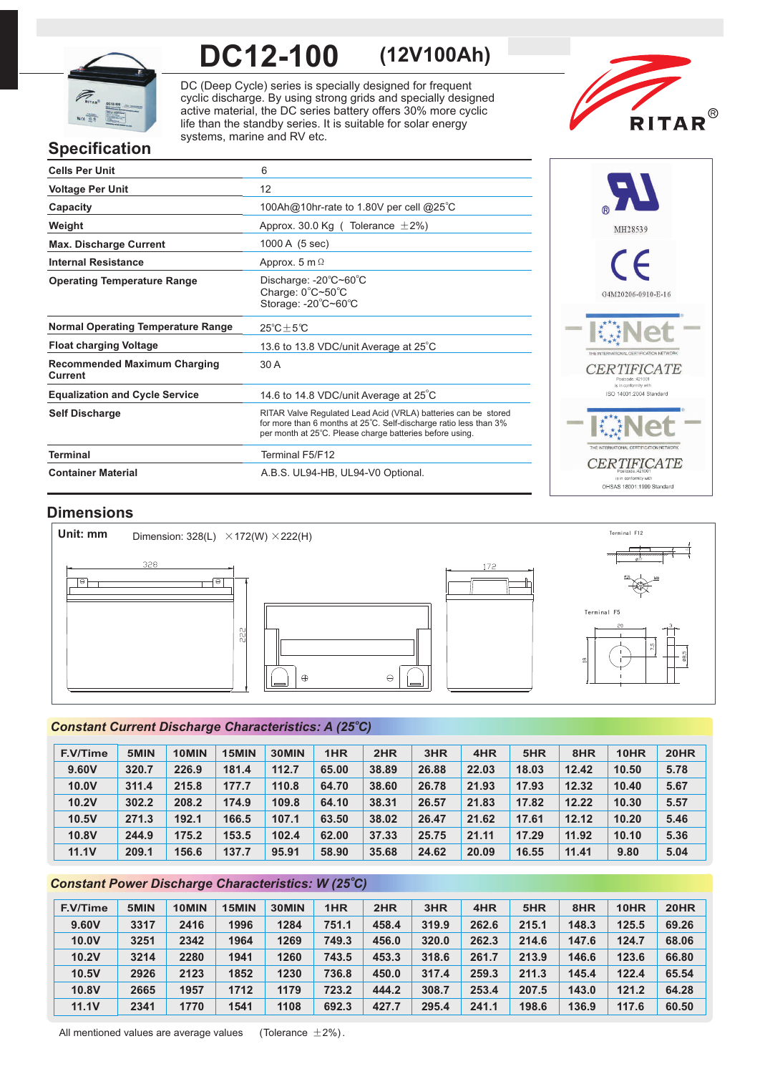

# **DC12-100 (12V100Ah)**

DC (Deep Cycle) series is specially designed for frequent cyclic discharge. By using strong grids and specially designed active material, the DC series battery offers 30% more cyclic life than the standby series. It is suitable for solar energy systems, marine and RV etc.



# **Specification**

| <b>Cells Per Unit</b>                          | 6                                                                                                                                                                                               |
|------------------------------------------------|-------------------------------------------------------------------------------------------------------------------------------------------------------------------------------------------------|
| <b>Voltage Per Unit</b>                        | 12                                                                                                                                                                                              |
| Capacity                                       | 100Ah@10hr-rate to 1.80V per cell @25°C                                                                                                                                                         |
| Weight                                         | Approx. 30.0 Kg ( Tolerance $\pm 2\%$ )                                                                                                                                                         |
| <b>Max. Discharge Current</b>                  | 1000 A (5 sec)                                                                                                                                                                                  |
| <b>Internal Resistance</b>                     | Approx. 5 m $\Omega$                                                                                                                                                                            |
| <b>Operating Temperature Range</b>             | Discharge: -20°C~60°C<br>Charge: 0°C~50°C<br>Storage: -20°C~60°C                                                                                                                                |
| <b>Normal Operating Temperature Range</b>      | $25^{\circ}$ C + 5 $^{\circ}$ C                                                                                                                                                                 |
| <b>Float charging Voltage</b>                  | 13.6 to 13.8 VDC/unit Average at 25°C                                                                                                                                                           |
| <b>Recommended Maximum Charging</b><br>Current | 30 A                                                                                                                                                                                            |
| <b>Equalization and Cycle Service</b>          | 14.6 to 14.8 VDC/unit Average at 25°C                                                                                                                                                           |
| <b>Self Discharge</b>                          | RITAR Valve Regulated Lead Acid (VRLA) batteries can be stored<br>for more than 6 months at 25°C. Self-discharge ratio less than 3%<br>per month at 25°C. Please charge batteries before using. |
| <b>Terminal</b>                                | Terminal F5/F12                                                                                                                                                                                 |
| <b>Container Material</b>                      | A.B.S. UL94-HB, UL94-V0 Optional.                                                                                                                                                               |



## **Dimensions**



## **Constant Current Discharge Characteristics: A (25°C)**

| <b>F.V/Time</b> | 5MIN  | 10MIN | 15MIN | 30MIN | 1HR   | 2HR   | 3HR   | 4HR   | 5HR   | 8HR   | 10HR  | <b>20HR</b> |
|-----------------|-------|-------|-------|-------|-------|-------|-------|-------|-------|-------|-------|-------------|
| 9.60V           | 320.7 | 226.9 | 181.4 | 112.7 | 65.00 | 38.89 | 26.88 | 22.03 | 18.03 | 12.42 | 10.50 | 5.78        |
| 10.0V           | 311.4 | 215.8 | 177.7 | 110.8 | 64.70 | 38.60 | 26.78 | 21.93 | 17.93 | 12.32 | 10.40 | 5.67        |
| <b>10.2V</b>    | 302.2 | 208.2 | 174.9 | 109.8 | 64.10 | 38.31 | 26.57 | 21.83 | 17.82 | 12.22 | 10.30 | 5.57        |
| 10.5V           | 271.3 | 192.1 | 166.5 | 107.1 | 63.50 | 38.02 | 26.47 | 21.62 | 17.61 | 12.12 | 10.20 | 5.46        |
| 10.8V           | 244.9 | 175.2 | 153.5 | 102.4 | 62.00 | 37.33 | 25.75 | 21.11 | 17.29 | 11.92 | 10.10 | 5.36        |
| <b>11.1V</b>    | 209.1 | 156.6 | 137.7 | 95.91 | 58.90 | 35.68 | 24.62 | 20.09 | 16.55 | 11.41 | 9.80  | 5.04        |

## **Constant Power Discharge Characteristics: W (25°C)**

| <b>F.V/Time</b> | 5MIN | 10MIN | 15MIN | 30MIN | 1HR   | 2HR   | 3HR   | 4HR   | 5HR   | 8HR   | 10HR  | <b>20HR</b> |
|-----------------|------|-------|-------|-------|-------|-------|-------|-------|-------|-------|-------|-------------|
| 9.60V           | 3317 | 2416  | 1996  | 1284  | 751.1 | 458.4 | 319.9 | 262.6 | 215.1 | 148.3 | 125.5 | 69.26       |
| 10.0V           | 3251 | 2342  | 1964  | 1269  | 749.3 | 456.0 | 320.0 | 262.3 | 214.6 | 147.6 | 124.7 | 68.06       |
| <b>10.2V</b>    | 3214 | 2280  | 1941  | 1260  | 743.5 | 453.3 | 318.6 | 261.7 | 213.9 | 146.6 | 123.6 | 66.80       |
| 10.5V           | 2926 | 2123  | 1852  | 1230  | 736.8 | 450.0 | 317.4 | 259.3 | 211.3 | 145.4 | 122.4 | 65.54       |
| 10.8V           | 2665 | 1957  | 1712  | 1179  | 723.2 | 444.2 | 308.7 | 253.4 | 207.5 | 143.0 | 121.2 | 64.28       |
| 11.1V           | 2341 | 1770  | 1541  | 1108  | 692.3 | 427.7 | 295.4 | 241.1 | 198.6 | 136.9 | 117.6 | 60.50       |

All mentioned values are average values (Tolerance  $\pm 2\%$ ).